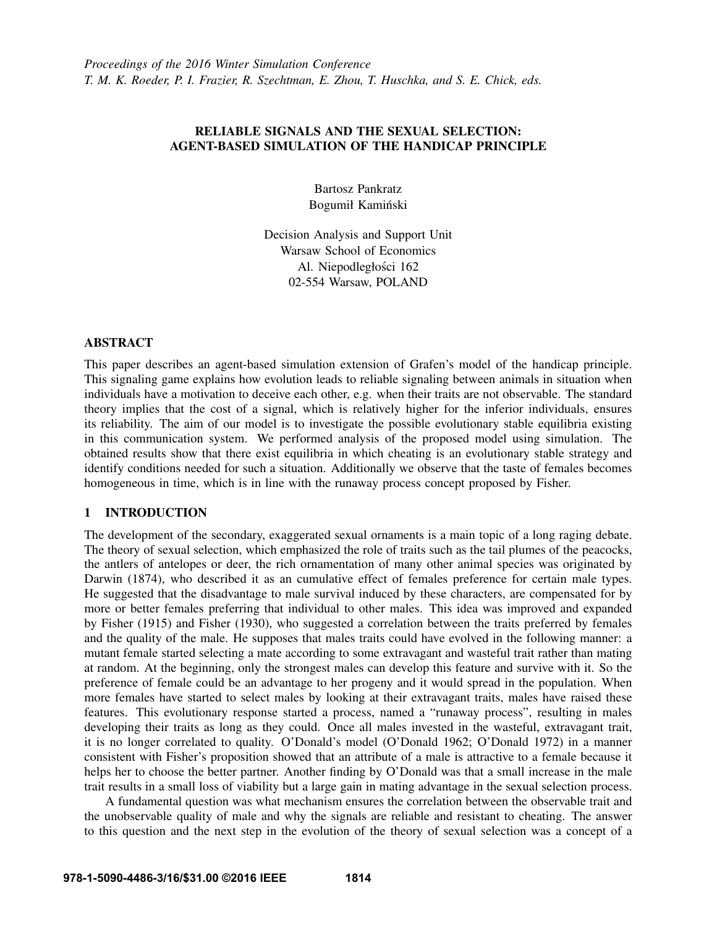# RELIABLE SIGNALS AND THE SEXUAL SELECTION: AGENT-BASED SIMULATION OF THE HANDICAP PRINCIPLE

Bartosz Pankratz Bogumił Kamiński

Decision Analysis and Support Unit Warsaw School of Economics Al. Niepodległosci 162 ´ 02-554 Warsaw, POLAND

# ABSTRACT

This paper describes an agent-based simulation extension of Grafen's model of the handicap principle. This signaling game explains how evolution leads to reliable signaling between animals in situation when individuals have a motivation to deceive each other, e.g. when their traits are not observable. The standard theory implies that the cost of a signal, which is relatively higher for the inferior individuals, ensures its reliability. The aim of our model is to investigate the possible evolutionary stable equilibria existing in this communication system. We performed analysis of the proposed model using simulation. The obtained results show that there exist equilibria in which cheating is an evolutionary stable strategy and identify conditions needed for such a situation. Additionally we observe that the taste of females becomes homogeneous in time, which is in line with the runaway process concept proposed by Fisher.

# 1 INTRODUCTION

The development of the secondary, exaggerated sexual ornaments is a main topic of a long raging debate. The theory of sexual selection, which emphasized the role of traits such as the tail plumes of the peacocks, the antlers of antelopes or deer, the rich ornamentation of many other animal species was originated by Darwin (1874), who described it as an cumulative effect of females preference for certain male types. He suggested that the disadvantage to male survival induced by these characters, are compensated for by more or better females preferring that individual to other males. This idea was improved and expanded by Fisher (1915) and Fisher (1930), who suggested a correlation between the traits preferred by females and the quality of the male. He supposes that males traits could have evolved in the following manner: a mutant female started selecting a mate according to some extravagant and wasteful trait rather than mating at random. At the beginning, only the strongest males can develop this feature and survive with it. So the preference of female could be an advantage to her progeny and it would spread in the population. When more females have started to select males by looking at their extravagant traits, males have raised these features. This evolutionary response started a process, named a "runaway process", resulting in males developing their traits as long as they could. Once all males invested in the wasteful, extravagant trait, it is no longer correlated to quality. O'Donald's model (O'Donald 1962; O'Donald 1972) in a manner consistent with Fisher's proposition showed that an attribute of a male is attractive to a female because it helps her to choose the better partner. Another finding by O'Donald was that a small increase in the male trait results in a small loss of viability but a large gain in mating advantage in the sexual selection process.

A fundamental question was what mechanism ensures the correlation between the observable trait and the unobservable quality of male and why the signals are reliable and resistant to cheating. The answer to this question and the next step in the evolution of the theory of sexual selection was a concept of a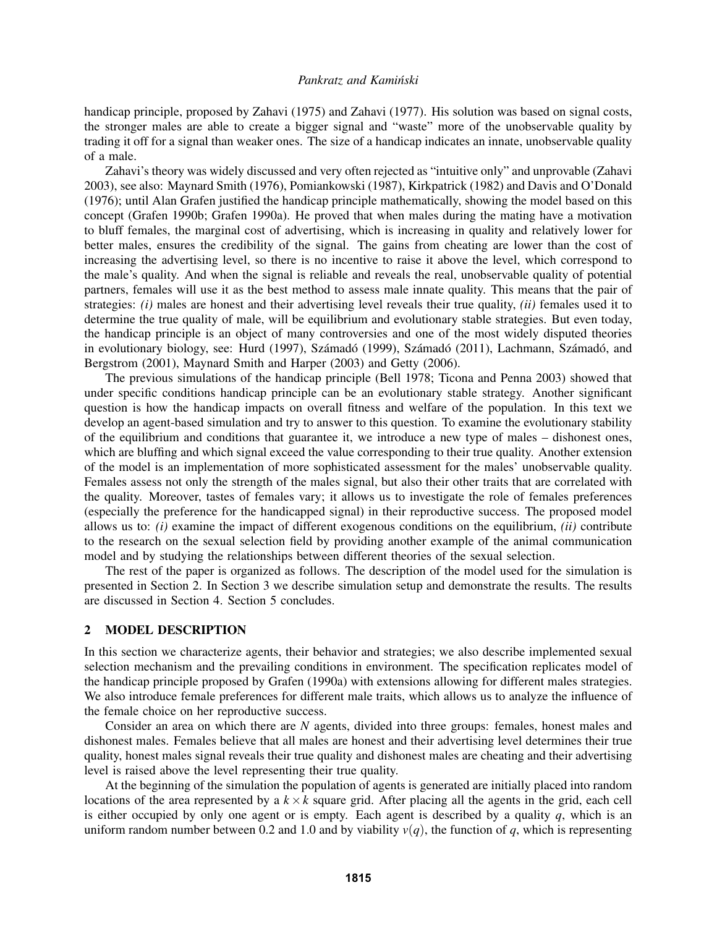handicap principle, proposed by Zahavi (1975) and Zahavi (1977). His solution was based on signal costs, the stronger males are able to create a bigger signal and "waste" more of the unobservable quality by trading it off for a signal than weaker ones. The size of a handicap indicates an innate, unobservable quality of a male.

Zahavi's theory was widely discussed and very often rejected as "intuitive only" and unprovable (Zahavi 2003), see also: Maynard Smith (1976), Pomiankowski (1987), Kirkpatrick (1982) and Davis and O'Donald (1976); until Alan Grafen justified the handicap principle mathematically, showing the model based on this concept (Grafen 1990b; Grafen 1990a). He proved that when males during the mating have a motivation to bluff females, the marginal cost of advertising, which is increasing in quality and relatively lower for better males, ensures the credibility of the signal. The gains from cheating are lower than the cost of increasing the advertising level, so there is no incentive to raise it above the level, which correspond to the male's quality. And when the signal is reliable and reveals the real, unobservable quality of potential partners, females will use it as the best method to assess male innate quality. This means that the pair of strategies: *(i)* males are honest and their advertising level reveals their true quality, *(ii)* females used it to determine the true quality of male, will be equilibrium and evolutionary stable strategies. But even today, the handicap principle is an object of many controversies and one of the most widely disputed theories in evolutionary biology, see: Hurd (1997), Számadó (1999), Számadó (2011), Lachmann, Számadó, and Bergstrom (2001), Maynard Smith and Harper (2003) and Getty (2006).

The previous simulations of the handicap principle (Bell 1978; Ticona and Penna 2003) showed that under specific conditions handicap principle can be an evolutionary stable strategy. Another significant question is how the handicap impacts on overall fitness and welfare of the population. In this text we develop an agent-based simulation and try to answer to this question. To examine the evolutionary stability of the equilibrium and conditions that guarantee it, we introduce a new type of males – dishonest ones, which are bluffing and which signal exceed the value corresponding to their true quality. Another extension of the model is an implementation of more sophisticated assessment for the males' unobservable quality. Females assess not only the strength of the males signal, but also their other traits that are correlated with the quality. Moreover, tastes of females vary; it allows us to investigate the role of females preferences (especially the preference for the handicapped signal) in their reproductive success. The proposed model allows us to: *(i)* examine the impact of different exogenous conditions on the equilibrium, *(ii)* contribute to the research on the sexual selection field by providing another example of the animal communication model and by studying the relationships between different theories of the sexual selection.

The rest of the paper is organized as follows. The description of the model used for the simulation is presented in Section 2. In Section 3 we describe simulation setup and demonstrate the results. The results are discussed in Section 4. Section 5 concludes.

# 2 MODEL DESCRIPTION

In this section we characterize agents, their behavior and strategies; we also describe implemented sexual selection mechanism and the prevailing conditions in environment. The specification replicates model of the handicap principle proposed by Grafen (1990a) with extensions allowing for different males strategies. We also introduce female preferences for different male traits, which allows us to analyze the influence of the female choice on her reproductive success.

Consider an area on which there are *N* agents, divided into three groups: females, honest males and dishonest males. Females believe that all males are honest and their advertising level determines their true quality, honest males signal reveals their true quality and dishonest males are cheating and their advertising level is raised above the level representing their true quality.

At the beginning of the simulation the population of agents is generated are initially placed into random locations of the area represented by a  $k \times k$  square grid. After placing all the agents in the grid, each cell is either occupied by only one agent or is empty. Each agent is described by a quality *q*, which is an uniform random number between 0.2 and 1.0 and by viability  $v(q)$ , the function of *q*, which is representing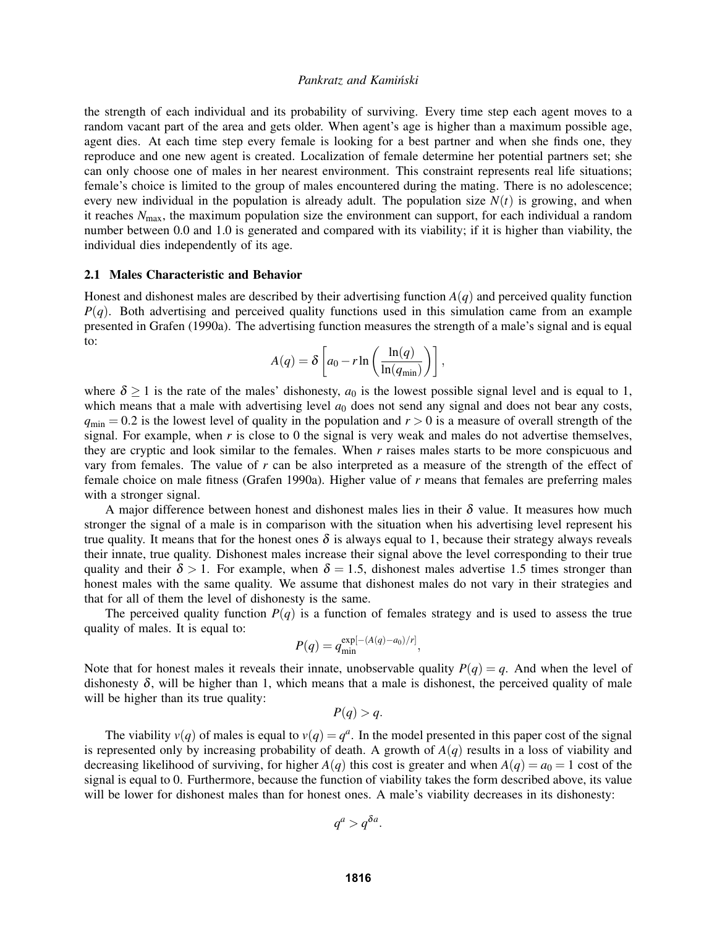the strength of each individual and its probability of surviving. Every time step each agent moves to a random vacant part of the area and gets older. When agent's age is higher than a maximum possible age, agent dies. At each time step every female is looking for a best partner and when she finds one, they reproduce and one new agent is created. Localization of female determine her potential partners set; she can only choose one of males in her nearest environment. This constraint represents real life situations; female's choice is limited to the group of males encountered during the mating. There is no adolescence; every new individual in the population is already adult. The population size  $N(t)$  is growing, and when it reaches *N*max, the maximum population size the environment can support, for each individual a random number between 0.0 and 1.0 is generated and compared with its viability; if it is higher than viability, the individual dies independently of its age.

### 2.1 Males Characteristic and Behavior

Honest and dishonest males are described by their advertising function *A*(*q*) and perceived quality function *P*(*q*). Both advertising and perceived quality functions used in this simulation came from an example presented in Grafen (1990a). The advertising function measures the strength of a male's signal and is equal to:

$$
A(q) = \delta \left[ a_0 - r \ln \left( \frac{\ln(q)}{\ln(q_{\min})} \right) \right],
$$

where  $\delta \ge 1$  is the rate of the males' dishonesty,  $a_0$  is the lowest possible signal level and is equal to 1, which means that a male with advertising level  $a_0$  does not send any signal and does not bear any costs,  $q_{\text{min}} = 0.2$  is the lowest level of quality in the population and  $r > 0$  is a measure of overall strength of the signal. For example, when *r* is close to 0 the signal is very weak and males do not advertise themselves, they are cryptic and look similar to the females. When *r* raises males starts to be more conspicuous and vary from females. The value of *r* can be also interpreted as a measure of the strength of the effect of female choice on male fitness (Grafen 1990a). Higher value of *r* means that females are preferring males with a stronger signal.

A major difference between honest and dishonest males lies in their  $\delta$  value. It measures how much stronger the signal of a male is in comparison with the situation when his advertising level represent his true quality. It means that for the honest ones  $\delta$  is always equal to 1, because their strategy always reveals their innate, true quality. Dishonest males increase their signal above the level corresponding to their true quality and their  $\delta > 1$ . For example, when  $\delta = 1.5$ , dishonest males advertise 1.5 times stronger than honest males with the same quality. We assume that dishonest males do not vary in their strategies and that for all of them the level of dishonesty is the same.

The perceived quality function  $P(q)$  is a function of females strategy and is used to assess the true quality of males. It is equal to:

$$
P(q) = q_{\min}^{\exp[-(A(q)-a_0)/r]},
$$

Note that for honest males it reveals their innate, unobservable quality  $P(q) = q$ . And when the level of dishonesty  $\delta$ , will be higher than 1, which means that a male is dishonest, the perceived quality of male will be higher than its true quality:

$$
P(q) > q.
$$

The viability  $v(q)$  of males is equal to  $v(q) = q^a$ . In the model presented in this paper cost of the signal is represented only by increasing probability of death. A growth of  $A(q)$  results in a loss of viability and decreasing likelihood of surviving, for higher  $A(q)$  this cost is greater and when  $A(q) = a_0 = 1$  cost of the signal is equal to 0. Furthermore, because the function of viability takes the form described above, its value will be lower for dishonest males than for honest ones. A male's viability decreases in its dishonesty:

$$
q^a > q^{\delta a}.
$$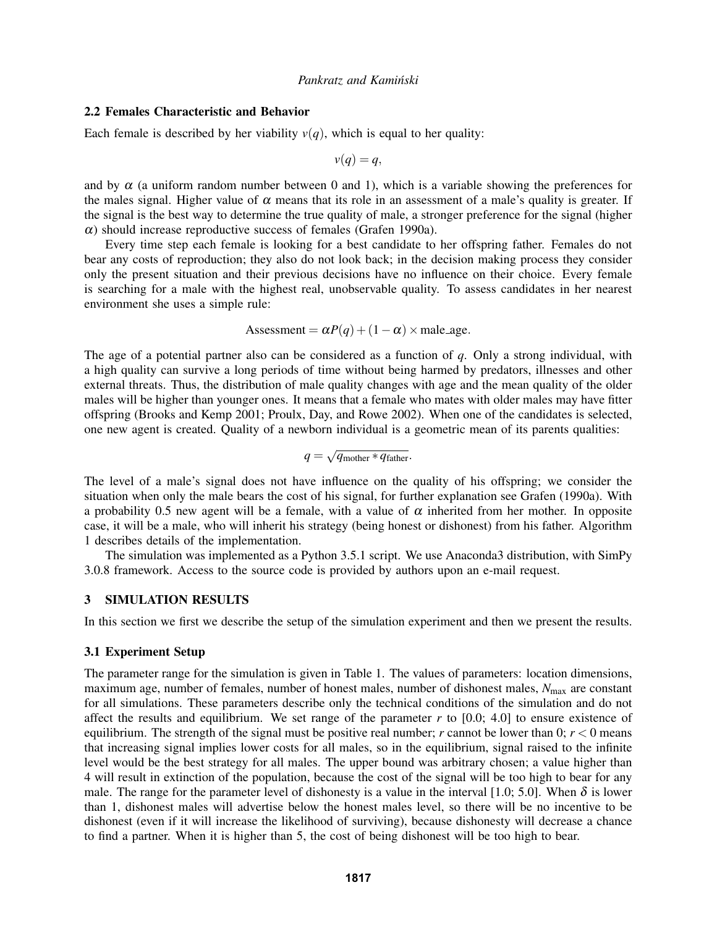#### 2.2 Females Characteristic and Behavior

Each female is described by her viability  $v(q)$ , which is equal to her quality:

$$
v(q) = q,
$$

and by  $\alpha$  (a uniform random number between 0 and 1), which is a variable showing the preferences for the males signal. Higher value of  $\alpha$  means that its role in an assessment of a male's quality is greater. If the signal is the best way to determine the true quality of male, a stronger preference for the signal (higher  $\alpha$ ) should increase reproductive success of females (Grafen 1990a).

Every time step each female is looking for a best candidate to her offspring father. Females do not bear any costs of reproduction; they also do not look back; in the decision making process they consider only the present situation and their previous decisions have no influence on their choice. Every female is searching for a male with the highest real, unobservable quality. To assess candidates in her nearest environment she uses a simple rule:

Assessment = 
$$
\alpha P(q) + (1 - \alpha) \times \text{male\_age}
$$
.

The age of a potential partner also can be considered as a function of *q*. Only a strong individual, with a high quality can survive a long periods of time without being harmed by predators, illnesses and other external threats. Thus, the distribution of male quality changes with age and the mean quality of the older males will be higher than younger ones. It means that a female who mates with older males may have fitter offspring (Brooks and Kemp 2001; Proulx, Day, and Rowe 2002). When one of the candidates is selected, one new agent is created. Quality of a newborn individual is a geometric mean of its parents qualities:

$$
q = \sqrt{q_{\text{mother}} * q_{\text{father}}}.
$$

The level of a male's signal does not have influence on the quality of his offspring; we consider the situation when only the male bears the cost of his signal, for further explanation see Grafen (1990a). With a probability 0.5 new agent will be a female, with a value of  $\alpha$  inherited from her mother. In opposite case, it will be a male, who will inherit his strategy (being honest or dishonest) from his father. Algorithm 1 describes details of the implementation.

The simulation was implemented as a Python 3.5.1 script. We use Anaconda3 distribution, with SimPy 3.0.8 framework. Access to the source code is provided by authors upon an e-mail request.

## 3 SIMULATION RESULTS

In this section we first we describe the setup of the simulation experiment and then we present the results.

#### 3.1 Experiment Setup

The parameter range for the simulation is given in Table 1. The values of parameters: location dimensions, maximum age, number of females, number of honest males, number of dishonest males,  $N_{\text{max}}$  are constant for all simulations. These parameters describe only the technical conditions of the simulation and do not affect the results and equilibrium. We set range of the parameter  $r$  to [0.0; 4.0] to ensure existence of equilibrium. The strength of the signal must be positive real number; *r* cannot be lower than 0;  $r < 0$  means that increasing signal implies lower costs for all males, so in the equilibrium, signal raised to the infinite level would be the best strategy for all males. The upper bound was arbitrary chosen; a value higher than 4 will result in extinction of the population, because the cost of the signal will be too high to bear for any male. The range for the parameter level of dishonesty is a value in the interval [1.0; 5.0]. When  $\delta$  is lower than 1, dishonest males will advertise below the honest males level, so there will be no incentive to be dishonest (even if it will increase the likelihood of surviving), because dishonesty will decrease a chance to find a partner. When it is higher than 5, the cost of being dishonest will be too high to bear.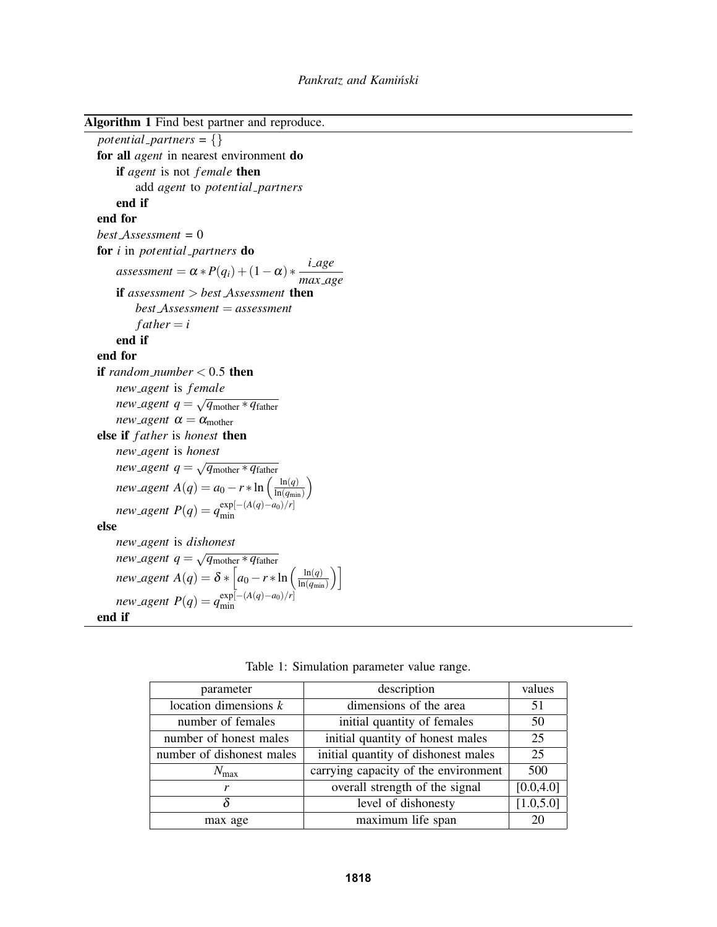# Algorithm 1 Find best partner and reproduce.

```
potential_partners = \{\}for all agent in nearest environment do
    if agent is not f emale then
         add agent to potential partners
    end if
end for
best Assessment = 0
for i in potential partners do
     assessment = α ∗P(qi) + (1−α) ∗
i age
                                                    max age
    if assessment > best Assessment then
         best Assessment = assessment
         father = iend if
end for
if random number < 0.5 then
    new agent is f emale
     new\_agent agent q = \sqrt{q_{\text{mother}} * q_{\text{father}}}new_agent \alpha = \alpha_{\text{mother}}else if f ather is honest then
    new agent is honest
     new\_agent agent q = \sqrt{q_{\text{mother}} * q_{\text{father}}}new \text{.} agent\ A(q) = a_0 - r * \ln \left( \frac{\ln(q)}{\ln(q_{min})} \right)ln(qmin)
                                                     \setminusnew_agent P(q) = q_{\min}^{\exp[-(A(q)-a_0)/r]}min
else
    new agent is dishonest
     new\_agent agent q = \sqrt{q_{\text{mother}} * q_{\text{father}}}new_agent A(q) = \delta * \left[a_0 - r * \ln \left(\frac{\ln(q)}{\ln(q_{min})}\right)\right]ln(qmin)
                                                           i
     new_agent P(q) = q_{\min}^{\exp[-(A(q)-a_0)/r]}min
end if
```

| parameter                 | description                          | values     |
|---------------------------|--------------------------------------|------------|
| location dimensions $k$   | dimensions of the area               | 51         |
| number of females         | initial quantity of females          | 50         |
| number of honest males    | initial quantity of honest males     | 25         |
| number of dishonest males | initial quantity of dishonest males  | 25         |
| $N_{\rm max}$             | carrying capacity of the environment | 500        |
|                           | overall strength of the signal       | [0.0, 4.0] |
| δ                         | level of dishonesty                  | [1.0, 5.0] |
| max age                   | maximum life span                    | 20         |

Table 1: Simulation parameter value range.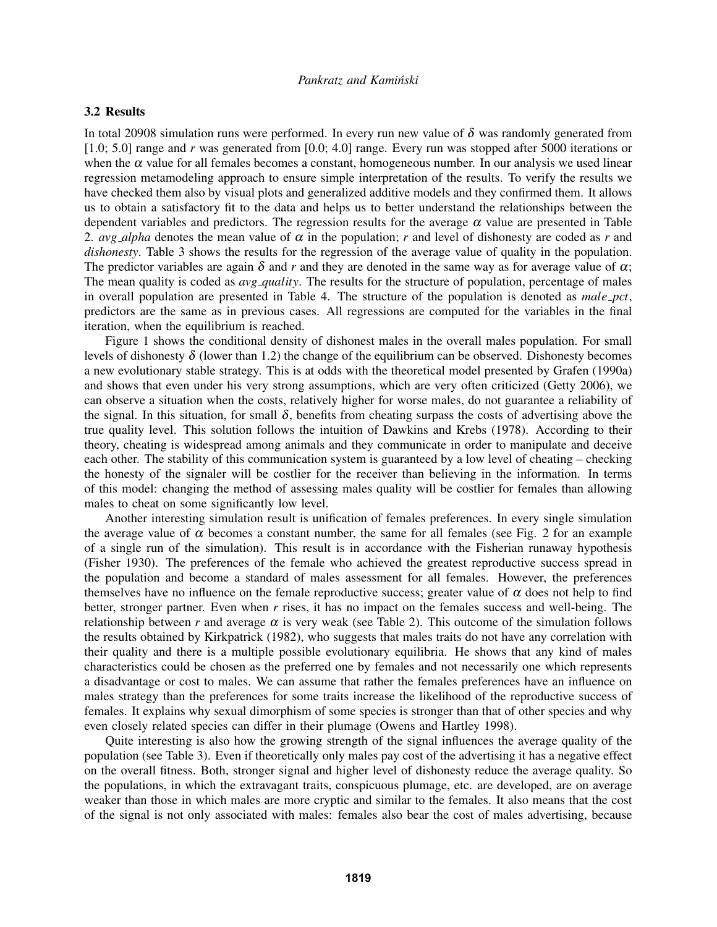## 3.2 Results

In total 20908 simulation runs were performed. In every run new value of  $\delta$  was randomly generated from [1.0; 5.0] range and *r* was generated from [0.0; 4.0] range. Every run was stopped after 5000 iterations or when the  $\alpha$  value for all females becomes a constant, homogeneous number. In our analysis we used linear regression metamodeling approach to ensure simple interpretation of the results. To verify the results we have checked them also by visual plots and generalized additive models and they confirmed them. It allows us to obtain a satisfactory fit to the data and helps us to better understand the relationships between the dependent variables and predictors. The regression results for the average  $\alpha$  value are presented in Table 2. *avg alpha* denotes the mean value of  $\alpha$  in the population; *r* and level of dishonesty are coded as *r* and *dishonesty*. Table 3 shows the results for the regression of the average value of quality in the population. The predictor variables are again  $\delta$  and *r* and they are denoted in the same way as for average value of  $\alpha$ ; The mean quality is coded as *avg quality*. The results for the structure of population, percentage of males in overall population are presented in Table 4. The structure of the population is denoted as *male pct*, predictors are the same as in previous cases. All regressions are computed for the variables in the final iteration, when the equilibrium is reached.

Figure 1 shows the conditional density of dishonest males in the overall males population. For small levels of dishonesty  $\delta$  (lower than 1.2) the change of the equilibrium can be observed. Dishonesty becomes a new evolutionary stable strategy. This is at odds with the theoretical model presented by Grafen (1990a) and shows that even under his very strong assumptions, which are very often criticized (Getty 2006), we can observe a situation when the costs, relatively higher for worse males, do not guarantee a reliability of the signal. In this situation, for small  $\delta$ , benefits from cheating surpass the costs of advertising above the true quality level. This solution follows the intuition of Dawkins and Krebs (1978). According to their theory, cheating is widespread among animals and they communicate in order to manipulate and deceive each other. The stability of this communication system is guaranteed by a low level of cheating – checking the honesty of the signaler will be costlier for the receiver than believing in the information. In terms of this model: changing the method of assessing males quality will be costlier for females than allowing males to cheat on some significantly low level.

Another interesting simulation result is unification of females preferences. In every single simulation the average value of  $\alpha$  becomes a constant number, the same for all females (see Fig. 2 for an example of a single run of the simulation). This result is in accordance with the Fisherian runaway hypothesis (Fisher 1930). The preferences of the female who achieved the greatest reproductive success spread in the population and become a standard of males assessment for all females. However, the preferences themselves have no influence on the female reproductive success; greater value of  $\alpha$  does not help to find better, stronger partner. Even when *r* rises, it has no impact on the females success and well-being. The relationship between *r* and average  $\alpha$  is very weak (see Table 2). This outcome of the simulation follows the results obtained by Kirkpatrick (1982), who suggests that males traits do not have any correlation with their quality and there is a multiple possible evolutionary equilibria. He shows that any kind of males characteristics could be chosen as the preferred one by females and not necessarily one which represents a disadvantage or cost to males. We can assume that rather the females preferences have an influence on males strategy than the preferences for some traits increase the likelihood of the reproductive success of females. It explains why sexual dimorphism of some species is stronger than that of other species and why even closely related species can differ in their plumage (Owens and Hartley 1998).

Quite interesting is also how the growing strength of the signal influences the average quality of the population (see Table 3). Even if theoretically only males pay cost of the advertising it has a negative effect on the overall fitness. Both, stronger signal and higher level of dishonesty reduce the average quality. So the populations, in which the extravagant traits, conspicuous plumage, etc. are developed, are on average weaker than those in which males are more cryptic and similar to the females. It also means that the cost of the signal is not only associated with males: females also bear the cost of males advertising, because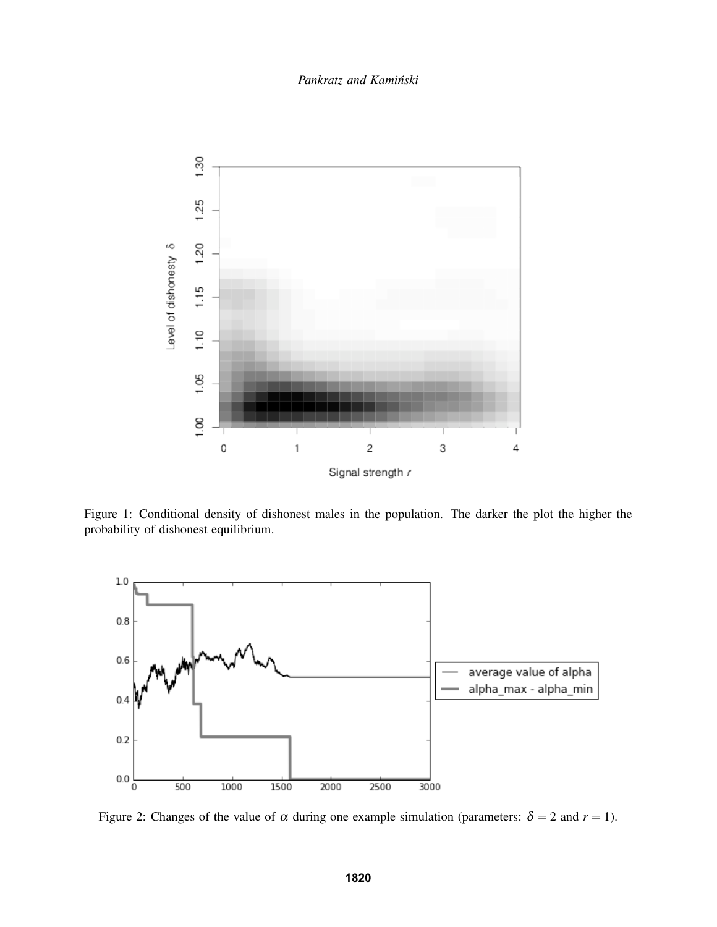

Figure 1: Conditional density of dishonest males in the population. The darker the plot the higher the probability of dishonest equilibrium.



Figure 2: Changes of the value of  $\alpha$  during one example simulation (parameters:  $\delta = 2$  and  $r = 1$ ).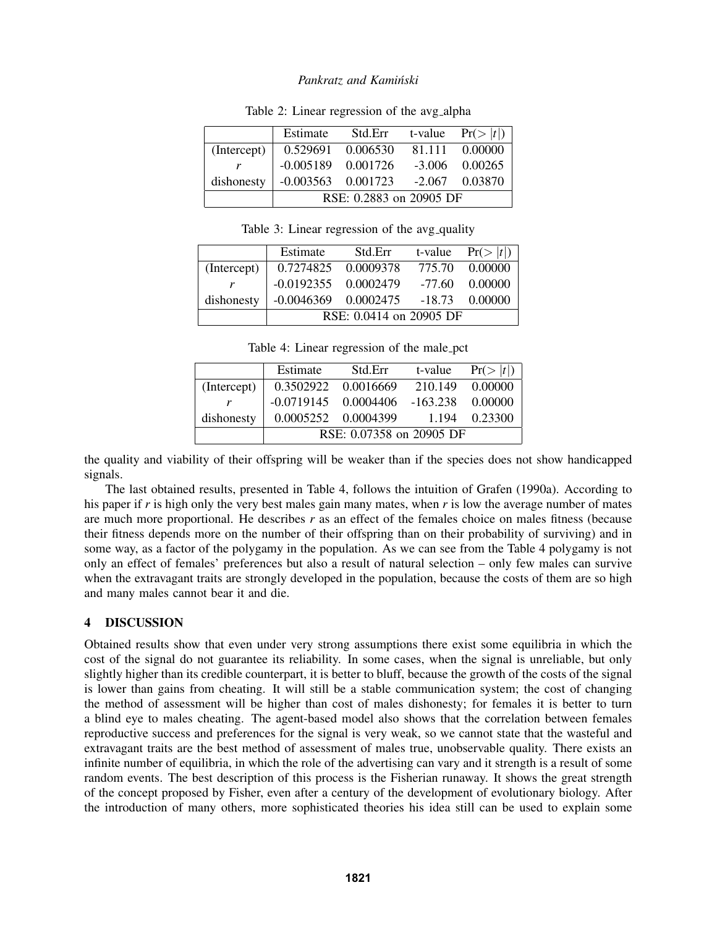|             | Estimate                | Std.Err                                   | t-value | Pr(> t )         |
|-------------|-------------------------|-------------------------------------------|---------|------------------|
| (Intercept) | 0.529691 0.006530       |                                           |         | 81.111 0.00000   |
| r           | $-0.005189$ $0.001726$  |                                           |         | $-3.006$ 0.00265 |
| dishonesty  |                         | $-0.003563$ $0.001723$ $-2.067$ $0.03870$ |         |                  |
|             | RSE: 0.2883 on 20905 DF |                                           |         |                  |

Table 2: Linear regression of the avg alpha

Table 3: Linear regression of the avg<sub>-quality</sub>

|             | Estimate                 | Std.Err                                     |  | t-value $Pr(> t ) $    |
|-------------|--------------------------|---------------------------------------------|--|------------------------|
| (Intercept) | 0.7274825 0.0009378      |                                             |  | 775.70 0.00000         |
|             | $-0.0192355$ $0.0002479$ |                                             |  | $-77.60 \quad 0.00000$ |
| dishonesty  |                          | $-0.0046369$ $0.0002475$ $-18.73$ $0.00000$ |  |                        |
|             | RSE: 0.0414 on 20905 DF  |                                             |  |                        |

Table 4: Linear regression of the male pct

|             | Estimate                 | Std.Err   | t-value            | Pr(> t )      |
|-------------|--------------------------|-----------|--------------------|---------------|
| (Intercept) | 0.3502922                | 0.0016669 | 210.149 0.00000    |               |
|             | $-0.0719145$ 0.0004406   |           | $-163.238$ 0.00000 |               |
| dishonesty  | 0.0005252 0.0004399      |           |                    | 1.194 0.23300 |
|             | RSE: 0.07358 on 20905 DF |           |                    |               |

the quality and viability of their offspring will be weaker than if the species does not show handicapped signals.

The last obtained results, presented in Table 4, follows the intuition of Grafen (1990a). According to his paper if *r* is high only the very best males gain many mates, when *r* is low the average number of mates are much more proportional. He describes *r* as an effect of the females choice on males fitness (because their fitness depends more on the number of their offspring than on their probability of surviving) and in some way, as a factor of the polygamy in the population. As we can see from the Table 4 polygamy is not only an effect of females' preferences but also a result of natural selection – only few males can survive when the extravagant traits are strongly developed in the population, because the costs of them are so high and many males cannot bear it and die.

# 4 DISCUSSION

Obtained results show that even under very strong assumptions there exist some equilibria in which the cost of the signal do not guarantee its reliability. In some cases, when the signal is unreliable, but only slightly higher than its credible counterpart, it is better to bluff, because the growth of the costs of the signal is lower than gains from cheating. It will still be a stable communication system; the cost of changing the method of assessment will be higher than cost of males dishonesty; for females it is better to turn a blind eye to males cheating. The agent-based model also shows that the correlation between females reproductive success and preferences for the signal is very weak, so we cannot state that the wasteful and extravagant traits are the best method of assessment of males true, unobservable quality. There exists an infinite number of equilibria, in which the role of the advertising can vary and it strength is a result of some random events. The best description of this process is the Fisherian runaway. It shows the great strength of the concept proposed by Fisher, even after a century of the development of evolutionary biology. After the introduction of many others, more sophisticated theories his idea still can be used to explain some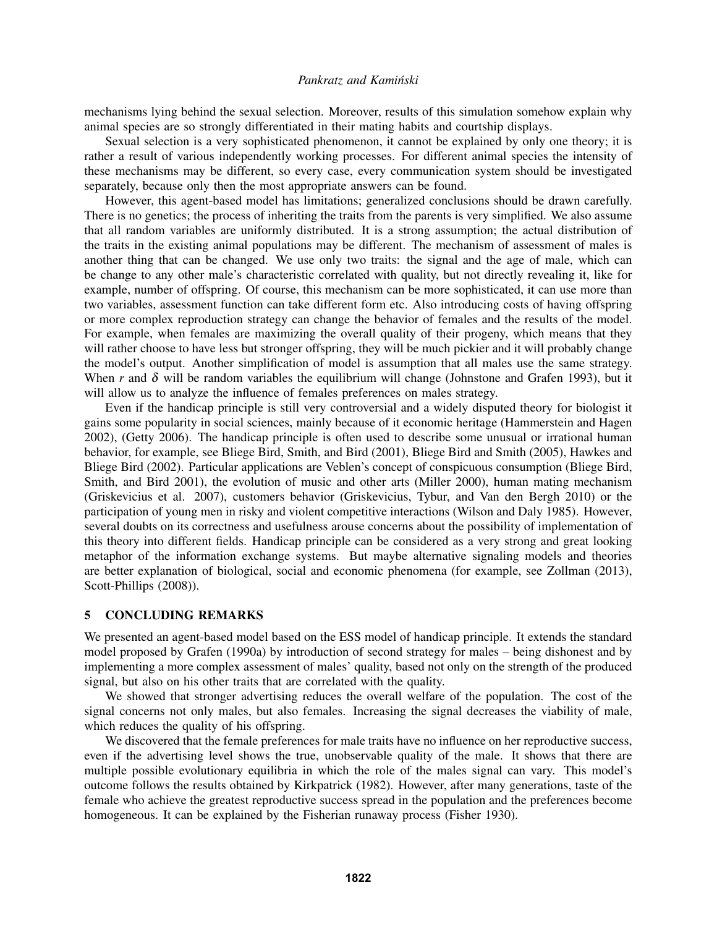mechanisms lying behind the sexual selection. Moreover, results of this simulation somehow explain why animal species are so strongly differentiated in their mating habits and courtship displays.

Sexual selection is a very sophisticated phenomenon, it cannot be explained by only one theory; it is rather a result of various independently working processes. For different animal species the intensity of these mechanisms may be different, so every case, every communication system should be investigated separately, because only then the most appropriate answers can be found.

However, this agent-based model has limitations; generalized conclusions should be drawn carefully. There is no genetics; the process of inheriting the traits from the parents is very simplified. We also assume that all random variables are uniformly distributed. It is a strong assumption; the actual distribution of the traits in the existing animal populations may be different. The mechanism of assessment of males is another thing that can be changed. We use only two traits: the signal and the age of male, which can be change to any other male's characteristic correlated with quality, but not directly revealing it, like for example, number of offspring. Of course, this mechanism can be more sophisticated, it can use more than two variables, assessment function can take different form etc. Also introducing costs of having offspring or more complex reproduction strategy can change the behavior of females and the results of the model. For example, when females are maximizing the overall quality of their progeny, which means that they will rather choose to have less but stronger offspring, they will be much pickier and it will probably change the model's output. Another simplification of model is assumption that all males use the same strategy. When *r* and  $\delta$  will be random variables the equilibrium will change (Johnstone and Grafen 1993), but it will allow us to analyze the influence of females preferences on males strategy.

Even if the handicap principle is still very controversial and a widely disputed theory for biologist it gains some popularity in social sciences, mainly because of it economic heritage (Hammerstein and Hagen 2002), (Getty 2006). The handicap principle is often used to describe some unusual or irrational human behavior, for example, see Bliege Bird, Smith, and Bird (2001), Bliege Bird and Smith (2005), Hawkes and Bliege Bird (2002). Particular applications are Veblen's concept of conspicuous consumption (Bliege Bird, Smith, and Bird 2001), the evolution of music and other arts (Miller 2000), human mating mechanism (Griskevicius et al. 2007), customers behavior (Griskevicius, Tybur, and Van den Bergh 2010) or the participation of young men in risky and violent competitive interactions (Wilson and Daly 1985). However, several doubts on its correctness and usefulness arouse concerns about the possibility of implementation of this theory into different fields. Handicap principle can be considered as a very strong and great looking metaphor of the information exchange systems. But maybe alternative signaling models and theories are better explanation of biological, social and economic phenomena (for example, see Zollman (2013), Scott-Phillips (2008)).

#### 5 CONCLUDING REMARKS

We presented an agent-based model based on the ESS model of handicap principle. It extends the standard model proposed by Grafen (1990a) by introduction of second strategy for males – being dishonest and by implementing a more complex assessment of males' quality, based not only on the strength of the produced signal, but also on his other traits that are correlated with the quality.

We showed that stronger advertising reduces the overall welfare of the population. The cost of the signal concerns not only males, but also females. Increasing the signal decreases the viability of male, which reduces the quality of his offspring.

We discovered that the female preferences for male traits have no influence on her reproductive success, even if the advertising level shows the true, unobservable quality of the male. It shows that there are multiple possible evolutionary equilibria in which the role of the males signal can vary. This model's outcome follows the results obtained by Kirkpatrick (1982). However, after many generations, taste of the female who achieve the greatest reproductive success spread in the population and the preferences become homogeneous. It can be explained by the Fisherian runaway process (Fisher 1930).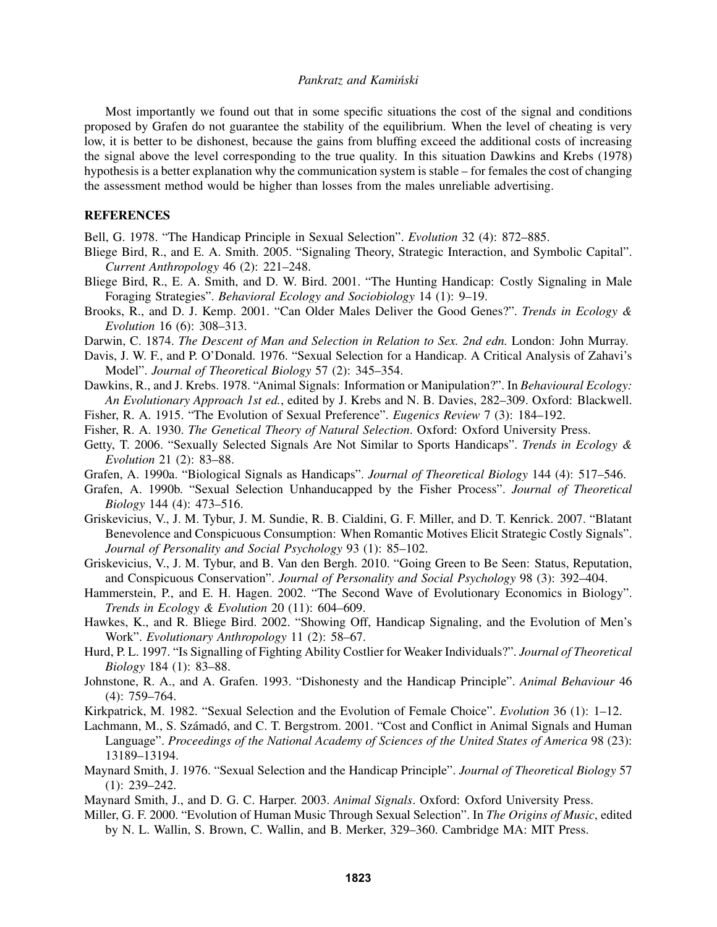Most importantly we found out that in some specific situations the cost of the signal and conditions proposed by Grafen do not guarantee the stability of the equilibrium. When the level of cheating is very low, it is better to be dishonest, because the gains from bluffing exceed the additional costs of increasing the signal above the level corresponding to the true quality. In this situation Dawkins and Krebs (1978) hypothesis is a better explanation why the communication system is stable – for females the cost of changing the assessment method would be higher than losses from the males unreliable advertising.

# **REFERENCES**

Bell, G. 1978. "The Handicap Principle in Sexual Selection". *Evolution* 32 (4): 872–885.

- Bliege Bird, R., and E. A. Smith. 2005. "Signaling Theory, Strategic Interaction, and Symbolic Capital". *Current Anthropology* 46 (2): 221–248.
- Bliege Bird, R., E. A. Smith, and D. W. Bird. 2001. "The Hunting Handicap: Costly Signaling in Male Foraging Strategies". *Behavioral Ecology and Sociobiology* 14 (1): 9–19.
- Brooks, R., and D. J. Kemp. 2001. "Can Older Males Deliver the Good Genes?". *Trends in Ecology & Evolution* 16 (6): 308–313.
- Darwin, C. 1874. *The Descent of Man and Selection in Relation to Sex. 2nd edn.* London: John Murray.
- Davis, J. W. F., and P. O'Donald. 1976. "Sexual Selection for a Handicap. A Critical Analysis of Zahavi's Model". *Journal of Theoretical Biology* 57 (2): 345–354.
- Dawkins, R., and J. Krebs. 1978. "Animal Signals: Information or Manipulation?". In *Behavioural Ecology: An Evolutionary Approach 1st ed.*, edited by J. Krebs and N. B. Davies, 282–309. Oxford: Blackwell.
- Fisher, R. A. 1915. "The Evolution of Sexual Preference". *Eugenics Review* 7 (3): 184–192.
- Fisher, R. A. 1930. *The Genetical Theory of Natural Selection*. Oxford: Oxford University Press.
- Getty, T. 2006. "Sexually Selected Signals Are Not Similar to Sports Handicaps". *Trends in Ecology & Evolution* 21 (2): 83–88.
- Grafen, A. 1990a. "Biological Signals as Handicaps". *Journal of Theoretical Biology* 144 (4): 517–546.
- Grafen, A. 1990b. "Sexual Selection Unhanducapped by the Fisher Process". *Journal of Theoretical Biology* 144 (4): 473–516.
- Griskevicius, V., J. M. Tybur, J. M. Sundie, R. B. Cialdini, G. F. Miller, and D. T. Kenrick. 2007. "Blatant Benevolence and Conspicuous Consumption: When Romantic Motives Elicit Strategic Costly Signals". *Journal of Personality and Social Psychology* 93 (1): 85–102.
- Griskevicius, V., J. M. Tybur, and B. Van den Bergh. 2010. "Going Green to Be Seen: Status, Reputation, and Conspicuous Conservation". *Journal of Personality and Social Psychology* 98 (3): 392–404.
- Hammerstein, P., and E. H. Hagen. 2002. "The Second Wave of Evolutionary Economics in Biology". *Trends in Ecology & Evolution* 20 (11): 604–609.
- Hawkes, K., and R. Bliege Bird. 2002. "Showing Off, Handicap Signaling, and the Evolution of Men's Work". *Evolutionary Anthropology* 11 (2): 58–67.
- Hurd, P. L. 1997. "Is Signalling of Fighting Ability Costlier for Weaker Individuals?". *Journal of Theoretical Biology* 184 (1): 83–88.
- Johnstone, R. A., and A. Grafen. 1993. "Dishonesty and the Handicap Principle". *Animal Behaviour* 46 (4): 759–764.
- Kirkpatrick, M. 1982. "Sexual Selection and the Evolution of Female Choice". *Evolution* 36 (1): 1–12.
- Lachmann, M., S. Számadó, and C. T. Bergstrom. 2001. "Cost and Conflict in Animal Signals and Human Language". *Proceedings of the National Academy of Sciences of the United States of America* 98 (23): 13189–13194.
- Maynard Smith, J. 1976. "Sexual Selection and the Handicap Principle". *Journal of Theoretical Biology* 57 (1): 239–242.
- Maynard Smith, J., and D. G. C. Harper. 2003. *Animal Signals*. Oxford: Oxford University Press.
- Miller, G. F. 2000. "Evolution of Human Music Through Sexual Selection". In *The Origins of Music*, edited by N. L. Wallin, S. Brown, C. Wallin, and B. Merker, 329–360. Cambridge MA: MIT Press.